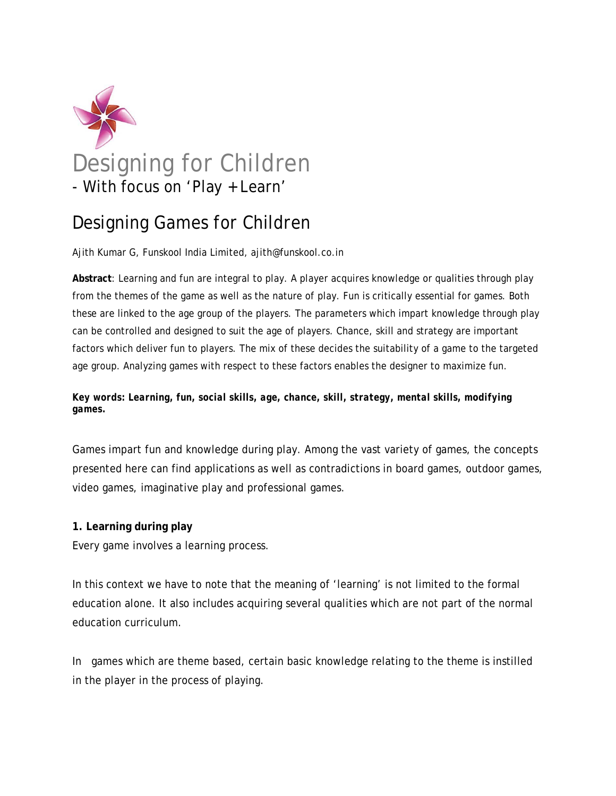

# Designing Games for Children

Ajith Kumar G, Funskool India Limited, ajith@funskool.co.in

**Abstract**: Learning and fun are integral to play. A player acquires knowledge or qualities through play from the themes of the game as well as the nature of play. Fun is critically essential for games. Both these are linked to the age group of the players. The parameters which impart knowledge through play can be controlled and designed to suit the age of players. Chance, skill and strategy are important factors which deliver fun to players. The mix of these decides the suitability of a game to the targeted age group. Analyzing games with respect to these factors enables the designer to maximize fun.

# *Key words: Learning, fun, social skills, age, chance, skill, strategy, mental skills, modifying games.*

Games impart fun and knowledge during play. Among the vast variety of games, the concepts presented here can find applications as well as contradictions in board games, outdoor games, video games, imaginative play and professional games.

# **1. Learning during play**

Every game involves a learning process.

In this context we have to note that the meaning of 'learning' is not limited to the formal education alone. It also includes acquiring several qualities which are not part of the normal education curriculum.

In games which are theme based, certain basic knowledge relating to the theme is instilled in the player in the process of playing.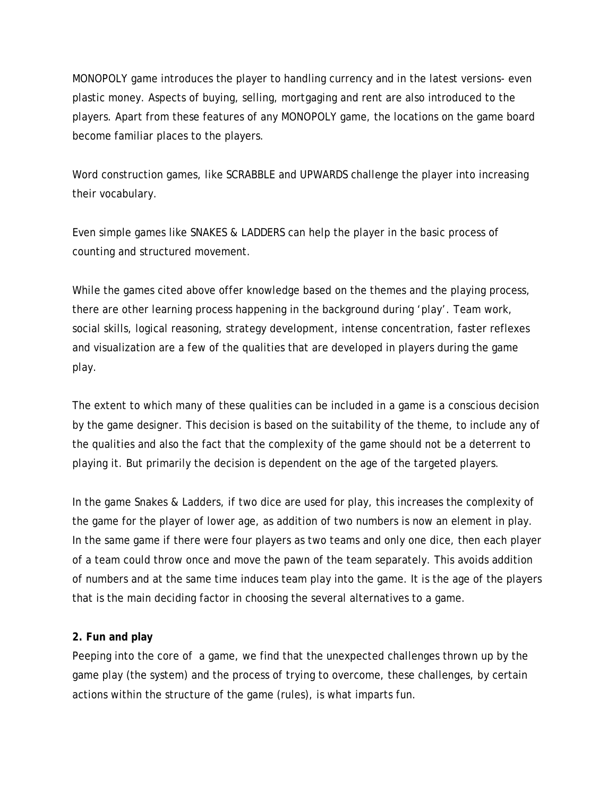MONOPOLY game introduces the player to handling currency and in the latest versions- even plastic money. Aspects of buying, selling, mortgaging and rent are also introduced to the players. Apart from these features of any MONOPOLY game, the locations on the game board become familiar places to the players.

Word construction games, like SCRABBLE and UPWARDS challenge the player into increasing their vocabulary.

Even simple games like SNAKES & LADDERS can help the player in the basic process of counting and structured movement.

While the games cited above offer knowledge based on the themes and the playing process, there are other learning process happening in the background during 'play'. Team work, social skills, logical reasoning, strategy development, intense concentration, faster reflexes and visualization are a few of the qualities that are developed in players during the game play.

The extent to which many of these qualities can be included in a game is a conscious decision by the game designer. This decision is based on the suitability of the theme, to include any of the qualities and also the fact that the complexity of the game should not be a deterrent to playing it. But primarily the decision is dependent on the age of the targeted players.

In the game Snakes & Ladders, if two dice are used for play, this increases the complexity of the game for the player of lower age, as addition of two numbers is now an element in play. In the same game if there were four players as two teams and only one dice, then each player of a team could throw once and move the pawn of the team separately. This avoids addition of numbers and at the same time induces team play into the game. It is the age of the players that is the main deciding factor in choosing the several alternatives to a game.

## **2. Fun and play**

Peeping into the core of a game, we find that the unexpected challenges thrown up by the game play (the system) and the process of trying to overcome, these challenges, by certain actions within the structure of the game (rules), is what imparts fun.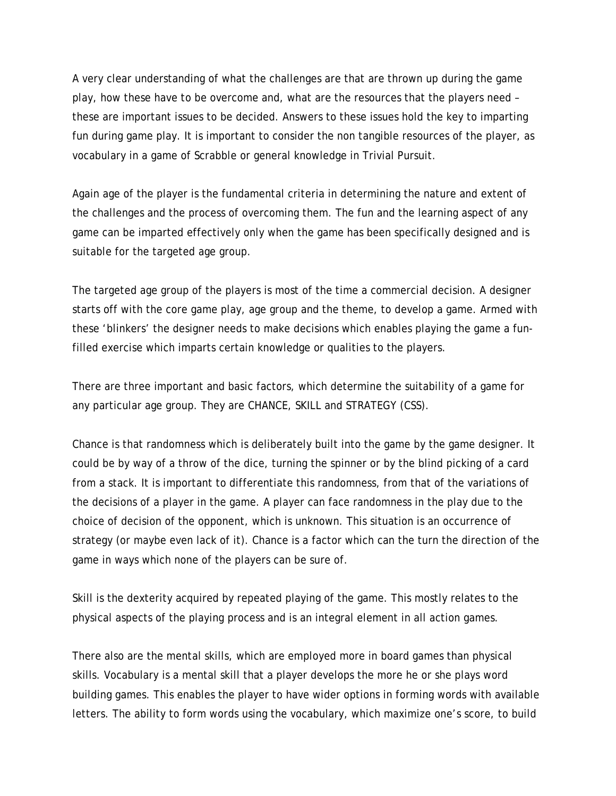A very clear understanding of what the challenges are that are thrown up during the game play, how these have to be overcome and, what are the resources that the players need – these are important issues to be decided. Answers to these issues hold the key to imparting fun during game play. It is important to consider the non tangible resources of the player, as vocabulary in a game of Scrabble or general knowledge in Trivial Pursuit.

Again age of the player is the fundamental criteria in determining the nature and extent of the challenges and the process of overcoming them. The fun and the learning aspect of any game can be imparted effectively only when the game has been specifically designed and is suitable for the targeted age group.

The targeted age group of the players is most of the time a commercial decision. A designer starts off with the core game play, age group and the theme, to develop a game. Armed with these 'blinkers' the designer needs to make decisions which enables playing the game a funfilled exercise which imparts certain knowledge or qualities to the players.

There are three important and basic factors, which determine the suitability of a game for any particular age group. They are CHANCE, SKILL and STRATEGY (CSS).

Chance is that randomness which is deliberately built into the game by the game designer. It could be by way of a throw of the dice, turning the spinner or by the blind picking of a card from a stack. It is important to differentiate this randomness, from that of the variations of the decisions of a player in the game. A player can face randomness in the play due to the choice of decision of the opponent, which is unknown. This situation is an occurrence of strategy (or maybe even lack of it). Chance is a factor which can the turn the direction of the game in ways which none of the players can be sure of.

Skill is the dexterity acquired by repeated playing of the game. This mostly relates to the physical aspects of the playing process and is an integral element in all action games.

There also are the mental skills, which are employed more in board games than physical skills. Vocabulary is a mental skill that a player develops the more he or she plays word building games. This enables the player to have wider options in forming words with available letters. The ability to form words using the vocabulary, which maximize one's score, to build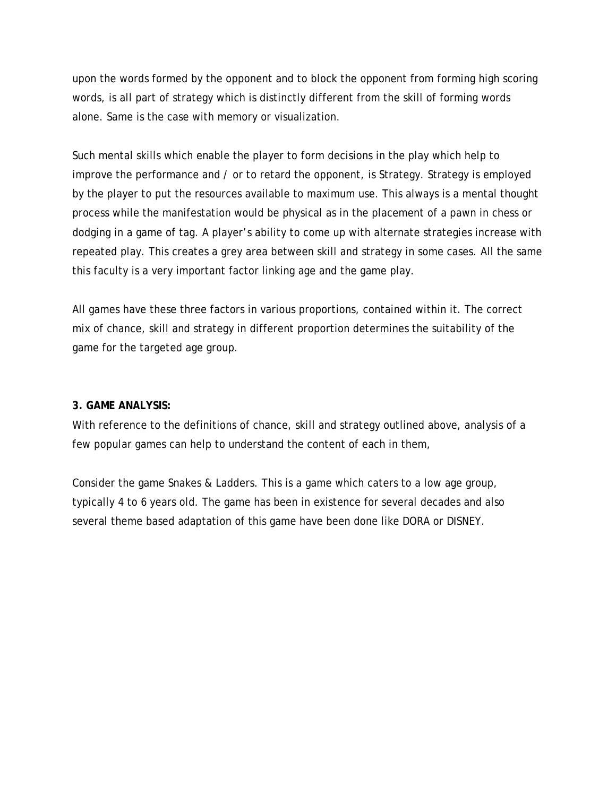upon the words formed by the opponent and to block the opponent from forming high scoring words, is all part of strategy which is distinctly different from the skill of forming words alone. Same is the case with memory or visualization.

Such mental skills which enable the player to form decisions in the play which help to improve the performance and / or to retard the opponent, is Strategy. Strategy is employed by the player to put the resources available to maximum use. This always is a mental thought process while the manifestation would be physical as in the placement of a pawn in chess or dodging in a game of tag. A player's ability to come up with alternate strategies increase with repeated play. This creates a grey area between skill and strategy in some cases. All the same this faculty is a very important factor linking age and the game play.

All games have these three factors in various proportions, contained within it. The correct mix of chance, skill and strategy in different proportion determines the suitability of the game for the targeted age group.

## **3. GAME ANALYSIS:**

With reference to the definitions of chance, skill and strategy outlined above, analysis of a few popular games can help to understand the content of each in them,

Consider the game Snakes & Ladders. This is a game which caters to a low age group, typically 4 to 6 years old. The game has been in existence for several decades and also several theme based adaptation of this game have been done like DORA or DISNEY.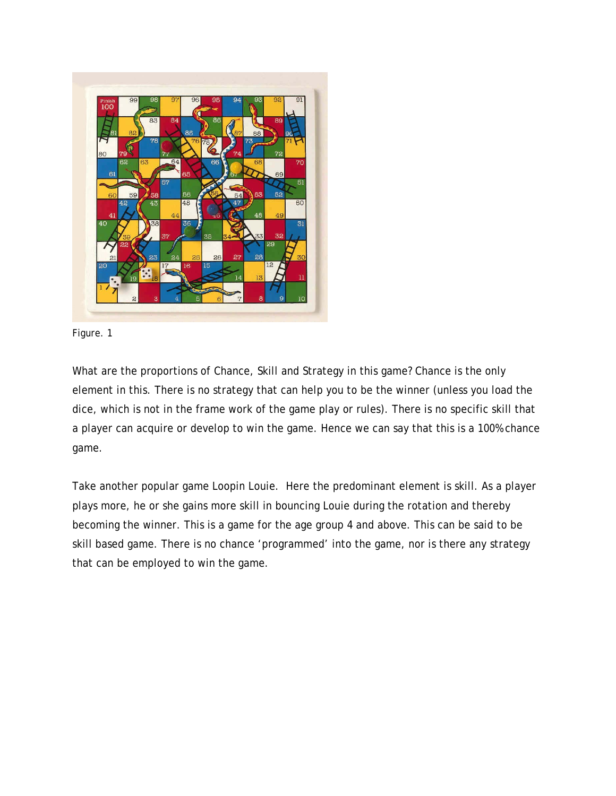



What are the proportions of Chance, Skill and Strategy in this game? Chance is the only element in this. There is no strategy that can help you to be the winner (unless you load the dice, which is not in the frame work of the game play or rules). There is no specific skill that a player can acquire or develop to win the game. Hence we can say that this is a 100% chance game.

Take another popular game Loopin Louie. Here the predominant element is skill. As a player plays more, he or she gains more skill in bouncing Louie during the rotation and thereby becoming the winner. This is a game for the age group 4 and above. This can be said to be skill based game. There is no chance 'programmed' into the game, nor is there any strategy that can be employed to win the game.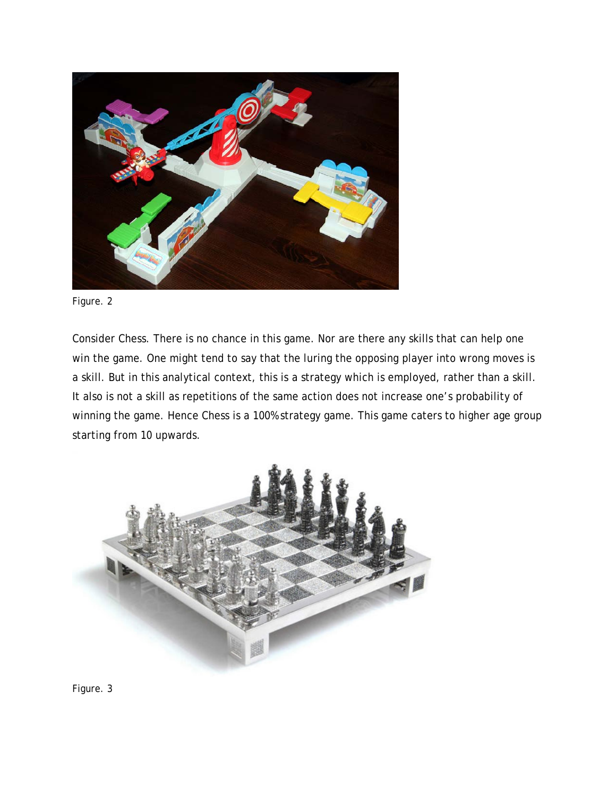

Figure. 2

Consider Chess. There is no chance in this game. Nor are there any skills that can help one win the game. One might tend to say that the luring the opposing player into wrong moves is a skill. But in this analytical context, this is a strategy which is employed, rather than a skill. It also is not a skill as repetitions of the same action does not increase one's probability of winning the game. Hence Chess is a 100% strategy game. This game caters to higher age group starting from 10 upwards.



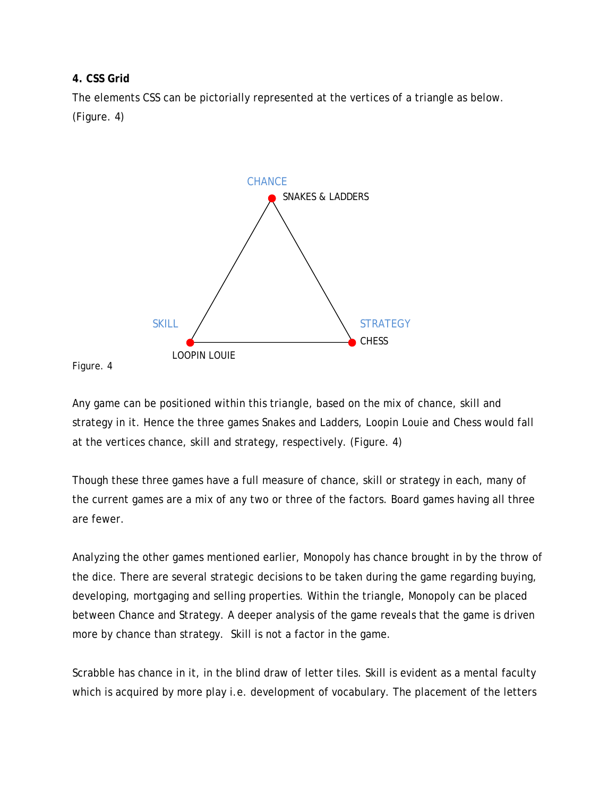## **4. CSS Grid**

The elements CSS can be pictorially represented at the vertices of a triangle as below. (Figure. 4)



#### Figure. 4

Any game can be positioned within this triangle, based on the mix of chance, skill and strategy in it. Hence the three games Snakes and Ladders, Loopin Louie and Chess would fall at the vertices chance, skill and strategy, respectively. (Figure. 4)

Though these three games have a full measure of chance, skill or strategy in each, many of the current games are a mix of any two or three of the factors. Board games having all three are fewer.

Analyzing the other games mentioned earlier, Monopoly has chance brought in by the throw of the dice. There are several strategic decisions to be taken during the game regarding buying, developing, mortgaging and selling properties. Within the triangle, Monopoly can be placed between Chance and Strategy. A deeper analysis of the game reveals that the game is driven more by chance than strategy. Skill is not a factor in the game.

Scrabble has chance in it, in the blind draw of letter tiles. Skill is evident as a mental faculty which is acquired by more play i.e. development of vocabulary. The placement of the letters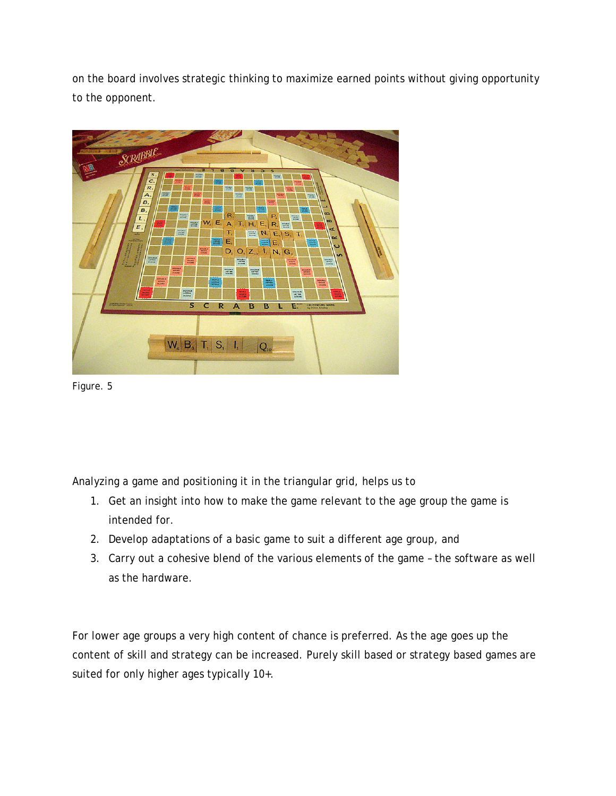on the board involves strategic thinking to maximize earned points without giving opportunity to the opponent.



Figure. 5

Analyzing a game and positioning it in the triangular grid, helps us to

- 1. Get an insight into how to make the game relevant to the age group the game is intended for.
- 2. Develop adaptations of a basic game to suit a different age group, and
- 3. Carry out a cohesive blend of the various elements of the game the software as well as the hardware.

For lower age groups a very high content of chance is preferred. As the age goes up the content of skill and strategy can be increased. Purely skill based or strategy based games are suited for only higher ages typically 10+.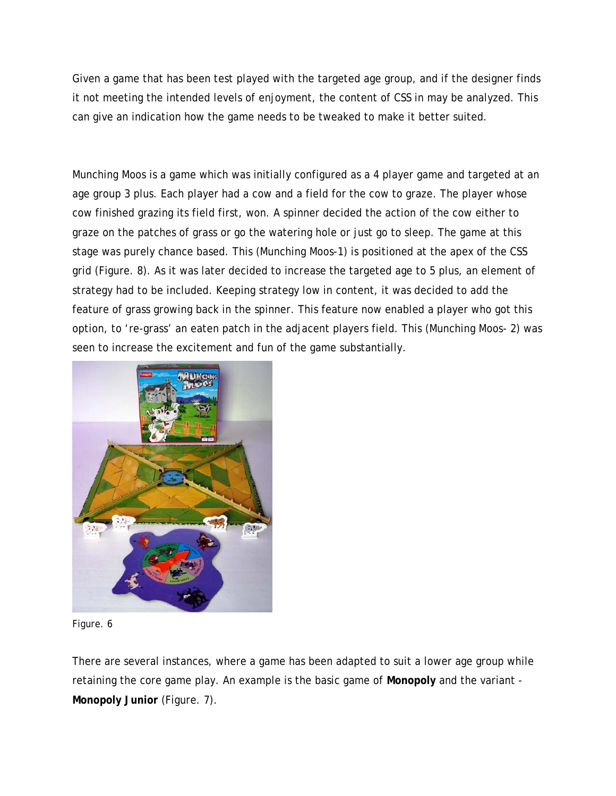Given a game that has been test played with the targeted age group, and if the designer finds it not meeting the intended levels of enjoyment, the content of CSS in may be analyzed. This can give an indication how the game needs to be tweaked to make it better suited.

Munching Moos is a game which was initially configured as a 4 player game and targeted at an age group 3 plus. Each player had a cow and a field for the cow to graze. The player whose cow finished grazing its field first, won. A spinner decided the action of the cow either to graze on the patches of grass or go the watering hole or just go to sleep. The game at this stage was purely chance based. This (Munching Moos-1) is positioned at the apex of the CSS grid (Figure. 8). As it was later decided to increase the targeted age to 5 plus, an element of strategy had to be included. Keeping strategy low in content, it was decided to add the feature of grass growing back in the spinner. This feature now enabled a player who got this option, to 're-grass' an eaten patch in the adjacent players field. This (Munching Moos- 2) was seen to increase the excitement and fun of the game substantially.



#### Figure. 6

There are several instances, where a game has been adapted to suit a lower age group while retaining the core game play. An example is the basic game of **Monopoly** and the variant - **Monopoly Junior** (Figure. 7).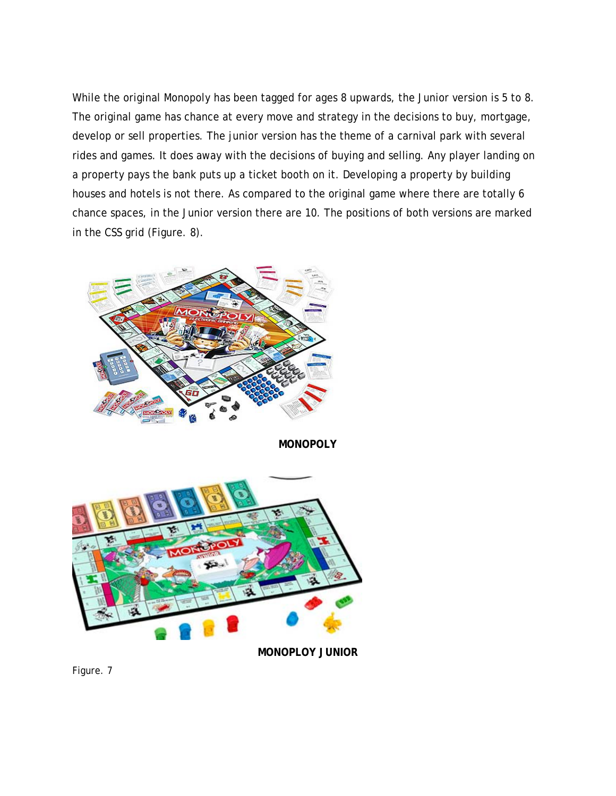While the original Monopoly has been tagged for ages 8 upwards, the Junior version is 5 to 8. The original game has chance at every move and strategy in the decisions to buy, mortgage, develop or sell properties. The junior version has the theme of a carnival park with several rides and games. It does away with the decisions of buying and selling. Any player landing on a property pays the bank puts up a ticket booth on it. Developing a property by building houses and hotels is not there. As compared to the original game where there are totally 6 chance spaces, in the Junior version there are 10. The positions of both versions are marked in the CSS grid (Figure. 8).



**MONOPOLY** 



**MONOPLOY JUNIOR** 

Figure. 7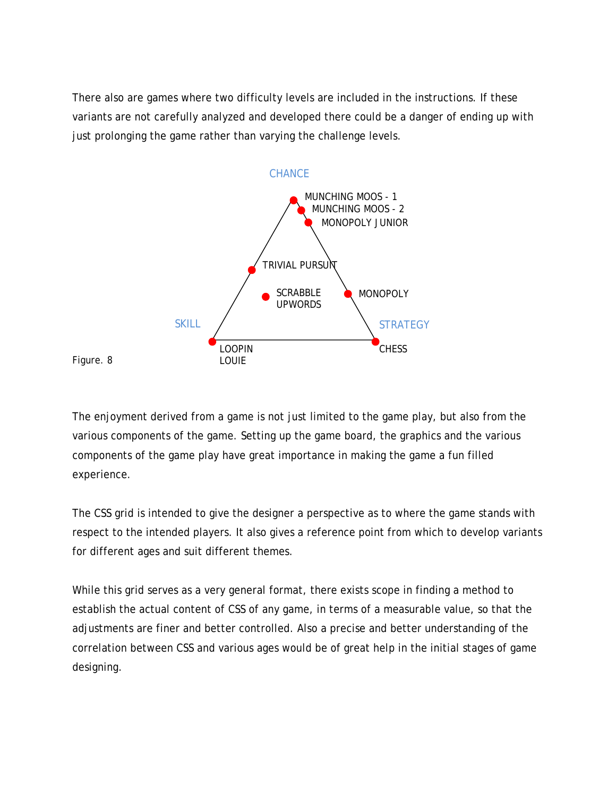There also are games where two difficulty levels are included in the instructions. If these variants are not carefully analyzed and developed there could be a danger of ending up with just prolonging the game rather than varying the challenge levels.





The enjoyment derived from a game is not just limited to the game play, but also from the various components of the game. Setting up the game board, the graphics and the various components of the game play have great importance in making the game a fun filled experience.

The CSS grid is intended to give the designer a perspective as to where the game stands with respect to the intended players. It also gives a reference point from which to develop variants for different ages and suit different themes.

While this grid serves as a very general format, there exists scope in finding a method to establish the actual content of CSS of any game, in terms of a measurable value, so that the adjustments are finer and better controlled. Also a precise and better understanding of the correlation between CSS and various ages would be of great help in the initial stages of game designing.